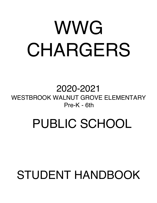# WWG CHARGERS

2020-2021 WESTBROOK WALNUT GROVE ELEMENTARY Pre-K - 6th

# PUBLIC SCHOOL

## STUDENT HANDBOOK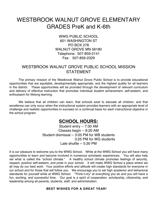### WESTBROOK WALNUT GROVE ELEMENTARY GRADES PreK and K-6th

WWG PUBLIC SCHOOL 601 WASHINGTON ST PO BOX 278 WALNUT GROVE MN 56180 Telephone: 507-859-2141 Fax: 507-859-2329

#### WESTBROOK WALNUT GROVE PUBLIC SCHOOL MISSION **STATEMENT**

The primary mission of the Westbrook Walnut Grove Public School is to provide educational opportunities that are equitable, developmentally appropriate, and the highest quality for all learners in the district. These opportunities will be provided through the development of relevant curriculum and delivery of effective instruction that promotes individual student achievement, self-esteem, and enthusiasm for lifelong learning.

We believe that all children can learn, that schools exist to educate all children, and that excellence can only occur when the instructional system provides learners with an appropriate level of challenge and realistic opportunities to succeed on a continual basis for each instructional objective in the school program.

#### **SCHOOL HOURS:**

Student entry -- 7:30 AM Classes begin -- 8:20 AM Student dismissal -- 3:05 PM for WB students 3:25 PM for WG students Late shuttle -- 5:30 PM

It is our pleasure to welcome you to the WWG School. While at the WWG School you will have many opportunities to learn and become involved in numerous scholastic experiences. You will also help set what is called the "school climate." A healthy school climate promotes feelings of security, respect, positive self-esteem, and pride in your school. It will make WWG School a place where we all may do our best work. Your positive efforts and attitude will create high standards for everyone in our school and for those that will follow you. We encourage you to set high academic and behavioral standards for yourself while at WWG School. "Think-n-try" at everything you do and you will have a fun, exciting, and successful time. Our goal is a spirit of cooperation, scholarship, citizenship, and leadership among all parents, students, staff, and administration.

#### **BEST WISHES FOR A GREAT YEAR!**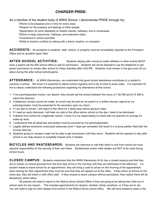#### **CHARGER PRIDE:**

As a member of the student body of WWG School, I demonstrate PRIDE through my:

\*Efforts to be prepared and on time for every class.

- \*Respect for the property and feelings of other people.
- \*Appreciation for work displayed on bulletin boards, hallways, and in showcases.
- \*Efforts to keep classrooms, hallways, and restrooms clean.
- \*Involvement in school activities.
- \*Ability to resolve conflicts by talking with a friend, teacher, or counselor.

**ACCIDENTS:** All accidents to students, staff, visitors, or property must be immediately reported to the Principal's Office and an accident report filed.

**AFTER SCHOOL ACTIVITIES:** Students staying after school to watch athletics or other events MUST have a parent call the WG school office to ask for permission. Students will not be allowed to use the telephone to get parent permission to remain after school for these activities after 3:00 PM. Students must remain in the gym and not run about during this after school activity/game.

**ATTENDANCE:** At WWG Elementary, we understand that good school attendance contributes to a student's success in school. We know it is essential to attend school regularly and to be on time to every class. It is important for me to clearly understand the following procedures regarding my attendance at this school.

- 1. If my parent/guardian knows I am absent, they should call the school between the hours of 7:30 AM and 8:15 AM to report the absence.
- 2. If telephone contact cannot be made, an email may be sent by my parent or a written excuse, signed by my parent/guardian, must be presented to the secretary upon my return.
- 3. If I am late to school, I will report to the office for a tardy pass before going to class.
- 4. If I need an early dismissal, I will take my note to the office before school on the day I need to be dismissed.
- 5. If absent from school for a legitimate reason, I know it is my responsibility to check with my teachers to arrange for make-up work.
- 6. I understand that all absences and tardies must be excused by my parents/guardian.
- 7. Legally defined excessive unexcused absences (over 7 days per semester) will result in a truancy petition filed with the County Attorney.
- 8. Students going on vacation might not be able to get schoolwork until they return. Students will be required to stay after school in our help session to complete missed work if needed.

**BICYCLES AND SKATEBOARDS:** Students are welcome to ride their bikes to and from school but must assume responsibility for the security of their own bikes. Skateboards and/or roller blades are NOT to be used during school hours.

**CLOSED CAMPUS:** Students understand that the WWG Elementary (K-6) has a closed campus and that they are to remain on school grounds from the time they arrive in the morning until they are dismissed in the afternoon. If a student needs to leave school for an appointment, they will bring a note to school on the morning of the appointment. Upon leaving for their appointment they must be sure that they are signed out at the office. If they return to school on the same day, they will check in with office staff. If they choose to leave campus without permission, they realize there will be disciplinary action taken.

\*All parents will need to report to the Walnut Grove School Office if they are going to be taking their child out of school early for any reason. This includes appointments for doctors, dentists, family vacations, or if they are ill, etc. You will need to sign for their release from school in the Walnut Grove school office. We will have students ready in the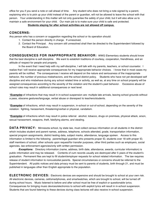office for you if you send a note or call ahead of time. Any student who does not bring a note signed by a parent, explaining who is to pick up your child instead of the parent or guardian, will not be allowed to leave the school with that person. Your understanding in this matter will not only guarantee the safety of your child, but it will also allow us to maintain a safe environment for your child. Our main job is to make sure your child is safe and protected.

#### **Students staying for after school activities are not allowed off campus.**

#### **CONCERNS:**

Any person who has a concern or suggestion regarding the school or its operation should:

- 1. Contact the person directly in charge. If unresolved,
- 2. Contact the Principal. Any concern still unresolved shall then be directed to the Superintendent followed by the Board of Education.

**CONSEQUENCES FOR INAPPROPRIATE BEHAVIOR:** WWG Elementary students should know that the best discipline is self-discipline. We want to establish traditions of courtesy, cooperation, friendliness, and an attitude of respect for people and property.

In the event that I need help with my self-discipline, I will talk with my parents, teachers, or school counselor. I realize that I will receive appropriate consequences for my inappropriate behavior choices. I know that in most cases my parents will be notified. The consequences I receive will depend on the nature and seriousness of the inappropriate behavior, the number of previous misbehaviors, and the school district policy. Students who have not yet developed self discipline and who misbehave during any school related time or activity, as well as, at any time on school property will be assigned consequences according to the severity of the violation and the student's past behavior. Excessive abuse of school rules may result in additional consequences or next level.

*\*Examples* of infractions that may result in in-school suspension are: multiple late arrivals, leaving school grounds without a pass, obscene gestures/language, verbal abuse or disrespect to teachers/students.

*\*Examples* of infractions, which may result in suspension, in-school or out-of-school, depending on the severity of the violation: fighting, harassment, threatening/verbal or physical, vandalism.

*\*Examples* of infractions which may result in police referral: alcohol, tobacco, drugs on premises, physical attack, arson, sexual harassment, weapons, theft, falsifying alarms, and stealing.

**DATA PRIVACY:** Minnesota school, by state law, must collect census information on all students in the district which includes student and parent names, address, telephone, schools attended, grade, transportation information, special program assignments, district testing data, subject marks, attendance, language spoken. Access to this information is limited to the following: parents/legal guardian who presents proper ID, students over 18 with proper ID, staff members of school, other schools upon request/for transfer purposes, other third parties such as employers, social agencies, law enforcement agencies/only with written permission.

*Exceptions:* Directory information (name, address, birth date, attendance, awards, curricular information) is public information and may be released. Contents of cum records usually are destroyed after 5 years of the student's graduation. Permanent files are kept to fill student/employer requests for school related information. The law requires release of student information to noncustodial parents. Special circumstances or concerns should be referred to the Superintendent. All public notices and data privacy must be sent to parents of students, birth through 21, and must be published in languages other than English appropriate to the population.

**ELECTRONIC DEVICES:** Electronic devices are expensive and should be brought to school at your own risk. All electronic devices, cameras, cell/smartphones, and smartwatches, which are brought to school, will be turned off during school hours. Music listened to before and after school must be free of explicit or questionable lyrics. Consequences for bringing music devices/electronics to school with explicit lyrics will result in in-school suspension. Students that are found listening to these devices during class lectures will also receive in-school suspension.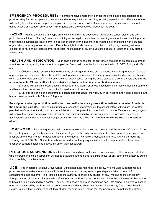**EMERGENCY PROCEDURES:** A comprehensive emergency plan for the school has been established to provide safety for the occupants in case of a sudden emergency such as: fire, tornado, explosion, etc. Faculty members will display this information in a prominent place in their classroom. All staff members have been instructed as to their duties in case of a sudden emergency. Emergency drills are conducted throughout the year.

**HAZING:** Hazing activities of any type are inconsistent with the educational goals of the school district and are prohibited at all times. "Hazing" means committing an act against a student, or coercing a student into committing an act that creates a substantial risk of harm to a person in order for the student to be initiated into or affiliated with a student organization, or for any other purposes. Examples might include but are not limited to: whipping, beating, extreme exposures to harm that creates mental or physical risk to health or safety, substance abuse, or violation of any state or federal laws.

**HEALTH AND MEDICATION:** Each child entering school for the first time is required to present a statement from their doctor regarding the student's completion of required immunizations such as the MMR, DPT, Polio, and HIB, etc.

1. Children should remain at home when they show signs of illness such as nausea, vomiting, or fever. Colds or upper respiratory infections should be watched with particular care since almost any communicable disease may begin with a cough or cold symptom. Children should not attend school during the acute stages of a common cold and **should remain home for 24 hours after a fever subsides or from the last time your child has vomited.**

2. A child with a skin infection, such a impetigo or ring worm, or an eye infection should receive medical treatment and have written permission from the doctor for readmission to school.

3. Various screening and programs are conducted throughout the year, such as, hearing and vision, scoliosis, and human development to 4th, 5th, and 6th grade.

**Prescription and nonprescription medication: No medications are given without written permission from both the doctor and parents.** The administration of prescription medications in the school setting will require the written permission of the parent and physician. Administration of nonprescription medications such as Tylenol and cough syrup will require the written permission from the parent and authorization by the school nurse. Cough drops may be selfadministered by a student, but must first get permission from the office. **All medication will be kept in the school office.**

**HOMEWORK:** Parents requesting their student's make-up homework will need to call the school before 9:00 AM on the day they wish to get the homework. This request goes in the daily announcements, which in most cases gives our teachers time enough to get homework ready for the student. Homework requested after 9:00 AM will be ready the following day at 3:00 PM. Students who have missed school may request extra time for help from their classroom teacher or paraprofessional to get caught up on their schoolwork.

**IN-SCHOOL SUSPENSIONS** will be served immediately unless otherwise directed by the Principal. A student who is serving in-school suspension will not be allowed to attend class field trips, plays, or any other school activity during that school day, or after school.

**LICE:** The Westbrook Walnut Grove School District has a no nits/head lice policy. We will work with parents in a proactive way to make sure confidentiality is kept, as well as, making sure proper steps are taken to keep it from spreading to other students. The Principal has the authority to check any student at any time during the school day throughout the school year. Parents who refuse to allow the Principal to check their child for head lice/nits will be required to have their child checked by a doctor. They will then need a slip to be readmitted back into school. Students will either need to be checked by the Principal or see a doctor every day to show that they continue to stay free of head lice/nits. Refusal to allow the Principal to check their student for head lice will mean that the parents will be notified to pick their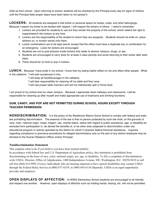child up from school. Upon returning to school, students will be checked by the Principal every day for signs of nits/lice until the Principal feels proper steps have been taken to not spread it.

LOCKERS: All students are assigned a hall locker or personal space for books, coats, and other belongings. Because I expect my locker to be treated with respect, I will respect the lockers of others. I need to remember:

- 1. Lockers are provided for students to use but they remain the property of the school, which retains the right to inspect/search the lockers at any time.
- 2. Lockers are the responsibility of the student to whom they are assigned. Students should not write on, place stickers on, or scratch words onto them.
- 3. Locker combinations are to be kept secret, except that the office must have a duplicate key or combination for an emergency. Locks for lockers are encouraged.
- 4. Students are not to post pictures inside lockers that relate to alcohol, tobacco, drugs, or sex.
- 5. Students are encouraged to carry texts for at least 2 class periods and avoid returning to their locker after each class.
- 6. There should be no food or pop in lockers.

**LUNCH:** Because I have pride in my school, I know that my eating habits reflect on me and affect other people. While in the cafeteria: \*I will wait courteously in line.

- \*I will keep all food/beverages in the cafeteria.
- \*I will take responsibility for cleaning off my table and floor area.
- \*I will use proper table manners and will not intentionally spill or throw food.

I am proud of my school and our clean campus. Because I appreciate clean hallways and classrooms, I will be responsible for cleaning up after myself and make appropriate use of trashcans and drinking fountains.

#### **GUM, CANDY, AND POP ARE NOT PERMITTED DURING SCHOOL HOURS EXCEPT THROUGH TEACHER PERMISSION.**

**NONDISCRIMINATION:** It is the policy of the Westbrook Walnut Grove School to comply with federal and state law prohibiting discrimination. The essence of the law is that no person protected by such law shall, on the grounds of race, color, national origin, creed, religion, sex, marital status, status with regard to public assistance, age, or disability be excluded form participation in, be denied the benefits of, or be other wise subjected to discrimination under any educational program or activity operated by the district for which it receives federal financial assistance. Inquiries regarding compliance or grievance procedures for alleged discriminatory acts on the part of any district employee may be directed to the Human Relations Officer and/or Principal.

#### **Nondiscrimination Statement**

This explains what to do if you believe you have been treated unfairly:

In accordance with federal law and U.S. Department of Agriculture policy, this institution is prohibited from discriminating on the basis of race, color, national origin, sex, age, or disability. To file a complaint of discrimination, write USDA, Director, Office of Adjudication, 1400 Independence Avenue, SW, Washington, D.C. 20250-9410 or call toll free (866) 632-9992 (Voice). Individuals who are hearing impaired or have speech disabilities may contact USDA through the Federal Relay Service at (800) 877-8339; or (800) 845-6136 (Spanish). USDA is an equal opportunity provider and employer.

**OPEN DISPLAYS OF AFFECTION:** At WWG Elementary School students are encouraged to be friendly and respect one another. However, open displays of affection such as holding hands, kissing, etc. will not be permitted.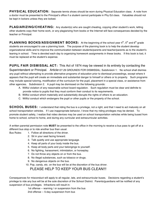**PHYSICAL EDUCATION:** Separate tennis shoes should be worn during Physical Education class. A note from a doctor must be presented to the Principal's office if a student cannot participate in Phy Ed class. Valuables should not be kept in lockers unless they are locked.

**PLAGIARIZING/CHEATING:** Any student(s) who are caught cheating, copying other student's work, letting other students copy their home work, or any plagiarizing from books or the Internet will face consequences decided by the teacher or Principal.

**PLANNING BOOKS/ASSIGNMENT BOOKS:** At the beginning of the school year 4<sup>th</sup>, 5<sup>th</sup> and 6<sup>th</sup> grade students are encouraged to use a planning book. The purpose of the planning book is to help the student develop organizational skills and to improve the communication between students/parents and teacher/parents as to the student's leaning in school. Time is devoted each day to organizing homework assignments in these books. If this book is lost, it must be replaced at the student's expense.

#### **PUPIL FAIR DISMISSAL ACT:** This Act of 1974 may be viewed in its entirety by contacting the

Superintendent or Principal. Article127.29 GROUNDS FOR DISMISSAL: Subdivision 1. No school shall dismiss any pupil without attempting to provide alternative programs of education prior to dismissal proceedings, except where it appears that the pupil will create an immediate and substantial danger to himself or others or to property. Such programs may include special tutoring, modification of the curriculum for the pupil, placement in a special class, or assistance from other agencies. Subdivision 2. A pupil may be dismissed on the following grounds:

- A. Willful violation of any reasonable school board regulation. Such regulation must be clear and definite to provide notice to pupils that they must conform their conduct to its requirements.
- B. Willful conduct which materially and substantially disrupts the rights of others to an education.
- C. Willful conduct which endangers the pupil or other pupils or the property of the school.

**SCHOOL BUSES:** I understand that riding the bus is a privilege, not a right, and that I need to act maturely on all school transportation vehicles. If I use inappropriate behavior, I know that my riding privileges may be denied. To promote student safety, I realize that video devices may be used on school transportation vehicles while being bused from home to school, school to home, and during any curricular and extracurricular activities.

A written parental permission note **MUST** be presented to the office in the morning to receive a bus pass to get off at a different bus stop or to ride another bus than usual.

Bus Rules: 1. Follow all directions of the driver.

- 2. Sit in your seat facing forward.
- 3. Talk quietly and use appropriate language.
- 4. Keep all parts of your body inside the bus.
- 5. Keep all body parts and your belongings to yourself.
- 6. No fighting, harassment, intimidation, or horseplay.
- 7. Do not throw any objects on or from the bus.
- 8. No illegal substances, such as tobacco or drugs.
- 9. No dangerous objects on the bus.

10. Pop, candy, etc. on the bus will be at the discretion of the bus driver.

#### PLEASE HELP TO KEEP YOUR BUS CLEAN!!!

Consequences for misconduct will apply to all regular, late, and extracurricular buses. Decisions regarding a student's privilege to ride any bus will be at the sole discretion of the School District. Parents/guardians will be notified of any suspension of bus privileges. Infractions will result in:

1st offense -- warning / or suspension from the bus

2nd offense -- 5-day suspension from bus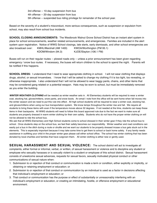3rd offense -- 10-day suspension from bus 4th offense -- 20-day suspension from bus 5th offense -- suspended bus riding privilege for remainder of the school year.

Based on the severity of a student's misconduct, more serious consequences, such as suspension or expulsion from school, may also result from school bus incidents.

**SCHOOL CLOSING ANNOUNCEMENTS:** The Westbrook Walnut Grove School District has an instant alert system in place for school announcements, weather related announcements, and emergencies. Families are included in the alert system upon registration. Notice of WWG School closings, late starts, early dismissals, and other school emergencies are also broadcast over: KMHL/Marshall (AM 1400) KWOA/Worthington (FM 95.1) KDOM/Windom (94.3) KJOE/Slayton (106.1 FM)

Buses will run on their regular routes -- plowed roads only -- unless a prior announcement has been given regarding emergency / snow bus routes. If necessary, the buses will return children to the school to spend the night. Parents will be notified if this happens.

**SCHOOL DRESS:** I understand that I need to wear appropriate clothing in school. I will not wear clothing that displays drugs, alcohol, or sexual innuendoes. I know that I will be asked to change my clothing if it is too tight, too revealing, or otherwise inappropriate. I also understand that I will not be allowed to wear baggy pants, chains, and other items that may be considered gang related or a potential weapon. Hats may be worn to school, but must be immediately removed as you enter the building.

*WINTER WEATHER CLOTHING* will be needed as winter weather sets in. All Elementary students will be required to wear a winter coat, stocking hat, gloves/mittens, snow pants, and snow boots. An email / note from the office will be sent home when fall moves into the winter season and we need to put this rule into effect. All high school students will be required to wear a winter coat, stocking hat, and gloves/mittens when using our bus transportation system. We know temps throughout the winter rise and fall. We require all students to bring these items with even if the temperature moves above 32 degrees. If not needed at the time, students can keep these items in their backpacks. All WWG students will need to follow this board approved rule due to the fact we want to make sure all students are properly dressed in warm winter clothing for their own safety. Students who do not have the proper winter clothing on will not be allowed to ride the school bus.

We ask that all WWG Elementary and High School students come to school dressed in their winter gear if they ride the school bus to school. Once students step on the school bus, we feel their safety becomes our responsibility. Winter weather and road conditions can easily put a bus in the ditch during a route or shuttle and we want our students to be properly dressed incase a bus gets stuck out in the elements. This is especially important because it may take some time to get them to school or back home safely. If any family needs assistance in outfitting your child in the proper winter gear please call either school office. The school has winter clothing that has been donated by local charities and families that have outgrown them. All winter clothing is either new or gently used.

**SEXUAL HARASSMENT AND SEXUAL VIOLENCE:** The school district will act to investigate all complaints, either formal or informal, verbal, or written, of sexual harassment or violence and to discipline any student or employee who sexually harasses or is sexually violent to a student or employee of this school district. Sexual harassment consists of unwelcome sexual advances, requests for sexual favors, sexually motivated physical conduct or other communications of sexual nature when:

- 1. Submission to or rejection of that conduct or communication is made a term or condition, either explicitly or implicitly, or obtaining or retaining employment or education; or
- 2. Submission to or rejection of that conduct or communication by an individual is used as a factor in decisions affecting that individual's employment or education; or
- 3. That conduct or communication has the purpose or effect of substantially or unreasonably interfering with an individual's employment or education, or creating an intimidating, hostile, or offensive employment or educational environment.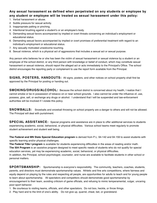#### **Any sexual harassment as defined when perpetrated on any students or employee by any student or employee will be treated as sexual harassment under this policy:**

- 1. Verbal harassment or abuse.
- 2. Subtle pressure for sexual activity.
- 3. Inappropriate patting or pinching.
- 4. Intentional brushing against a student's or an employee's body.
- 5. Demanding sexual favors accompanied by implied or overt threats concerning an individual's employment or educational status.
- 6. Demanding sexual favors accompanied by implied or overt promises of preferential treatment with regard to an individual's employment or educational status.
- 7. Any sexually motivated unwelcome touching.
- 8. Sexual violence, which is a physical act of aggressions that includes a sexual act or sexual purpose.

Any person who believes he or she has been the victim of sexual harassment or sexual violence by a student or an employee of the school district, or any third person with knowledge or belief of conduct, which may constitute sexual harassment or sexual violence, should report the alleged act or acts immediately to the Principal's Office. The school district encourages the reporting party or complainant to use the report form available from the Principal.

**SIGNS, POSTERS, HANDOUTS:** All signs, posters, and other notices on school property shall first be approved by the Principal for posting or handing out.

**SMOKING/DRUGS/ALCOHOL:** Because the school district is concerned about my health, I realize that I cannot smoke or be in possession of tobacco on or near school grounds. I also cannot be under the influence of, use, possess, give, sell, or exchange any drugs or alcohol. I understand that I will be suspended and law-enforcement authorities will be involved if I violate this policy.

**SNOWBALLS:** Snowballs and snowball throwing on school property are a danger to others and will not be allowed. The Principal will deal with punishment.

**SPECIAL ASSISTANCE:** Special programs and assistance are in place to offer additional services to students experiencing academic, social, behavioral, or physical difficulties. Various school teams meet regularly to promote student achievement and student well being.

**The Federal and MN State Special Education program** is derived from P.L. 94-142 and 94.159 to assist students with specific learning and/or physical challenges.

**The Federal Title I program** is available for students experiencing difficulties in the areas of reading and/or math. **The 504 Program** is an assistive program designed to meet specific needs of students who do not qualify for special education services, yet may be experiencing academic, social, behavioral, or physical difficulties.

In addition, the Principal, school psychologist, counselor, and nurse are available to facilitate students in other school or personal matters.

**SPORTSMANSHIP:** Sportsmanship is everyone's responsibility. The community, teachers, coaches, students, parents, and directors must demonstrate sportsmanship values. Athletic and fine arts competitions, where fairness and equity depend on playing by the rules and respecting all people, are opportunities for adults to teach and for young people to learn about sportsmanship. All spectators and competitors should demonstrate good sportsmanship by encouragement to their team, avoiding criticism of game officials, and refusing to mimic temperamental, vulgar, uncaring poor-sport behavior.

- 1. Be courteous to visiting teams, officials, and other spectators. Do not boo, heckle, or throw things.
- 2. Play hard and to the limit of one's ability. Do not give up, quarrel, cheat, bet, or grandstand.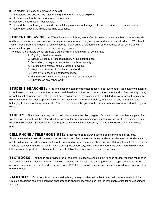- 3. Be modest in victory and gracious in defeat.
- 4. Understand and observe the rules of the game and the rules of eligibility.
- 5. Respect the integrity and judgment of the officials.
- 6. Respect the facilities of host schools.
- 7. Support the team through wins and losses, taking into account the age, skill, and experience of team members.
- 8. Remember, above all, this is a learning experience.

**STUDENT BEHAVIOR:** At WWG Elementary School, every effort is made to be certain that students are safe and have a positive and constructive learning environment where they can grow and mature as individuals. Westbrook Walnut Grove Elementary does not allow students to pick on other students, call others names, or put others down. If others mistreat you, please let someone know right away.

The following behaviors do not promote a safe environment and will not be tolerated.

- 1. Fighting, physical assaults.
- 2. Disruptive conduct, insubordination, willful disobedience.
- 3. Vandalism, damage or destruction of school property.
- 4. Harassment: verbal, sexual, racial, or physical.
- 5. Illegal narcotics, alcohol, tobacco, and/or drugs.
- 6. Profanity or obscene language/gestures.
- 7. Gang related activities, clothing, symbol, or paraphernalia.
- 8. Cheating on any schoolwork.

**STUDENT SEARCHES:** If the Principal or a staff member has reason to believe that an illegal act or violation of school rules has been or is about to be committed, he/she is authorized to search the student and his/her property or any school district property used by the student and seize any item that is specifically prohibited by law or school regulation. General search of school properties, including but not limited to lockers or desks, may occur at any time and items belonging to the school may be seized. All items seized shall be given to the proper authorities or returned to the rightful owner.

**TARDIES:** All students are required to be in class before the class begins. On the third tardy, within any given four week period, students will be referred to the Principal for appropriate consequence to make up for the time missed as a result of their tardies. Students should be organized so that it is not necessary to go to their lockers after every class period.

**CELL PHONE / TELEPHONE USE:** Students need to always use the office phone to call parents. Students should not use cell phones during school hours. Any type of cellphone or electronic devises that students can use to call, email, or text during school should be turned off when entering school and left off during the school day. Some teachers may ask that they remain in lockers during the school day, while other teachers may be comfortable with them left in a student's pocket. Each student will need to follow their homeroom teacher's requests.

**TEXTBOOKS:** Textbooks are provided for all students. Textbooks checked out to each student must be returned in the same or similar condition as when they were checked out. If books are damaged or lost, a replacement fee will be charged. In general, a typical hardcover book costs \$100.00. Fines will be assessed according to extent of damage at the end of the year.

**VALUABLES:** Occasionally students need to bring money or other valuables that would create a hardship if lost. On such occasions students should be encouraged to check these valuables into the Principal's office for safekeeping for the day.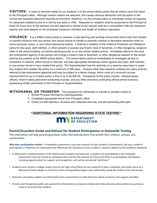**VISITORS:** In order to maintain safety for our students, it is the school district policy that all visitors must first report to the Principal's office. Although student visitors are welcome, this causes obvious distraction and disruption to the normal and essential classroom-learning environment; therefore, it is the schools policy to individually review all requests for classroom visitations prior to a visit by any adult or child. Requests for visitation shall be presented to the Principal at lease 24 hours prior to the planned visit and approval or denial of any request shall be in consultation with the classroom teacher and shall depend on the scheduled classroom activities and length of visitation requested.

**VIOLENCE:** It is a WWG school policy to maintain a safe learning and working environment that is free from threats or harmful influence from any person who would choose to exhibit or promote violence or disruptive behaviors while on school grounds, buses, or any school sponsored activity. It shall be a violation of this Violence Protection and Weapons policy for any pupil, staff member, or other persons to posses any firearm (real or facsimile), or other dangerous weapons when in the school building, on school owned grounds, or on any school related activity. Immediate referral to the local law enforcement agency of any person who brings a firearm (real or facsimile), or other dangerous weapon to the school shall be the practice of the WWG school district. The school district shall act immediately to investigate all acts or complains of violence, either formal or informal, and take appropriate disciplinary action against any pupil, staff member, or any person found to have violated this policy. The Superintendent has the authority on a case-by-case basis to expel any student who violates this policy for a minimum of 365 days. Persons other than students violating this policy shall be referred to law enforcement agencies and may be subject to a felony charge, which could at a minimum include imprisonment for up to 2 years and/or a fine of up to \$5,000.00. Exceptions to this policy include: licensed peace officers, firearm safety personnel conducting courses, and any other person(s) conducting official school business possessing written permission of the Principal or Superintendent.

**WITHDRAWAL OR TRANSFER:** The procedure for withdrawal or transfer to another school is:

- 1. School Principal informed by parent/guardian.
- 2. Completed appropriate forms from Principal's office.
- 3. Check out with teachers, all books and materials returned, and all outstanding bills paid.

#### *\*\*ADDITIONAL INFORMATION REGARDING STATE TESTING\*\**

### **MAN** DEPARTMENT

#### Parent/Guardian Guide and Refusal for Student Participation in Statewide Testing

This information will help parents/guardians make informed decisions that benefit their children, schools, and communities. 

Why does participation matter? A statewide assessment is just one measure of your student's achievement, but your student's participation is important to understand how effectively the education at your student's school is aligned to the academic standards.

- In Minnesota's implementation of the federal Every Student Succeeds Act, a student not participating in the statewide assessments will not receive an individual score and for the purpose of school and district accountability calculations, including opportunities for support and recognition, will not be considered "proficient."
- Students who receive a college-ready score on the high school MCA are not required to take a remedial, noncredit course at a Minnesota State college or university in the corresponding subject area, potentially saving the student time and money.
- Educators and policy makers use information from assessments to make decisions about resources and support provided.
- Parents and the general public use assessment information to compare schools and make decisions about where to purchase a home or to enroll their children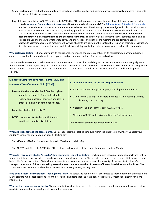- School performance results that are publicly released and used by families and communities, are negatively impacted if students do not participate in assessments.
- English learners not taking ACCESS or Alternate ACCESS for ELLs will not receive a score to meet English learner program exiting criteria. Academic Standards and Assessments What are academic standards? The Minnesota K-12 Academic Standards are the statewide expectations for student academic achievement. They identify the knowledge and skills that all students must achieve in a content area and are organized by grade level. School districts determine how students will meet the standards by developing courses and curriculum aligned to the academic standards. What is the relationship between academic statewide assessments and the academic standards? The statewide assessments in mathematics, reading, and science are used to measure whether students, and their school and district, are meeting the academic standards. Statewide assessments are one measure of how well students are doing on the content that is part of their daily instruction. It is also a measure of how well schools and districts are doing in aligning their curriculum and teaching the standards.

Why statewide testing? Minnesota values its educational system and the professionalism of its educators. Minnesota educators created the academic standards, which are rigorous and prepare our students for career and college.

The statewide assessments are how we as a state measure that curriculum and daily instruction in our schools are being aligned to the academics standards, ensuring all students are being provided an equitable education. Statewide assessment results are just one tool to monitor that we are providing our students with the education that will ensure a strong workforce and knowledgeable citizens. 

| <b>Minnesota Comprehensive Assessments (MCA) and</b><br><b>Minnesota Test of Academic Skills (MTAS)</b>                              | <b>ACCESS and Alternate ACCESS for English Learners</b>                                            |
|--------------------------------------------------------------------------------------------------------------------------------------|----------------------------------------------------------------------------------------------------|
| BasedontheMinnesotaAcademicStandards; given                                                                                          | Based on the WIDA English Language Development Standards.                                          |
| annually in grades 3–8 and high school in<br>reading and mathematics; given annually in<br>grades 5, 8, and high school for science. | Given annually to English learners in grades K-12 in reading, writing,<br>listening, and speaking. |
| Majority of students take the MCA.                                                                                                   | Majority of English learners take ACCESS for ELLs.                                                 |
| MTAS is an option for students with the most                                                                                         | Alternate ACCESS for ELLs is an option for English learners                                        |
| significant cognitive disabilities.                                                                                                  | with the most significant cognitive disabilities.                                                  |

When do students take the assessments? Each school sets their testing schedule within the state testing window. Contact your student's school for information on specific testing days.

• The MCA and MTAS testing window begins in March and ends in May.

• The ACCESS and Alternate ACCESS for ELLs testing window begins at the end of January and ends in March.

When do I receive my student's results? How much time is spent on testing? Each summer, individual student reports are sent to school districts and are provided to families no later than fall conferences. The reports can be used to see your child's progress and help guide future instruction. Statewide assessments are taken one time each year; the majority of students test online. On average, the amount of time spent taking statewide assessments is **less than 1 percent of instructional time** in a school year. The assessments are not timed and students can continue working as long as they need.

Why does it seem like my student is taking more tests? The statewide-required tests are limited to those outlined in this document. Many districts make local decisions to administer additional tests that the state does not require. Contact your district for more information. 

Why are these assessments effective? Minnesota believes that in order to effectively measure what students are learning, testing needs to be more than answering multiple-choice questions.